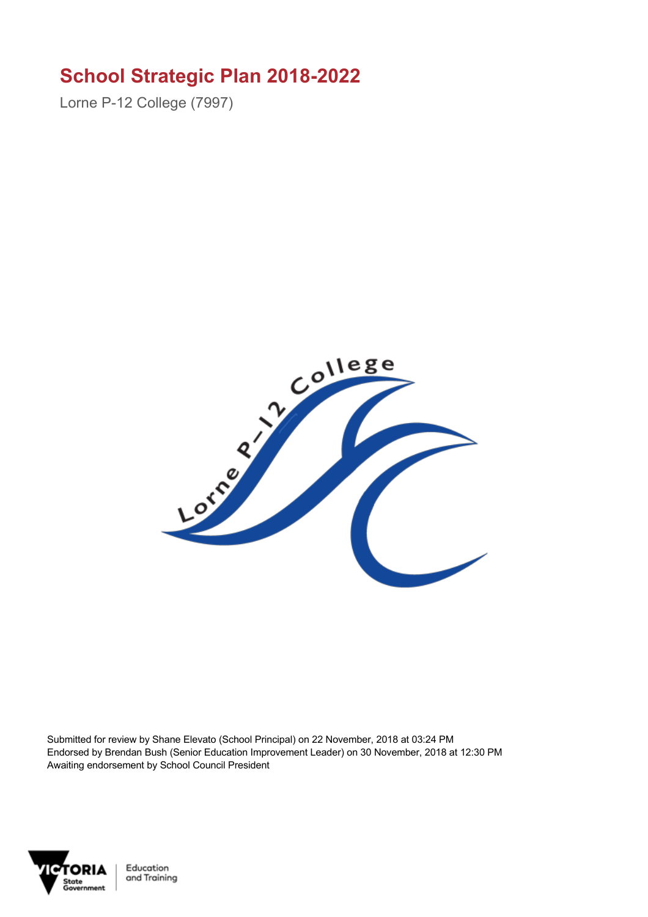## **School Strategic Plan 2018-2022**

Lorne P-12 College (7997)



Submitted for review by Shane Elevato (School Principal) on 22 November, 2018 at 03:24 PM Endorsed by Brendan Bush (Senior Education Improvement Leader) on 30 November, 2018 at 12:30 PM Awaiting endorsement by School Council President

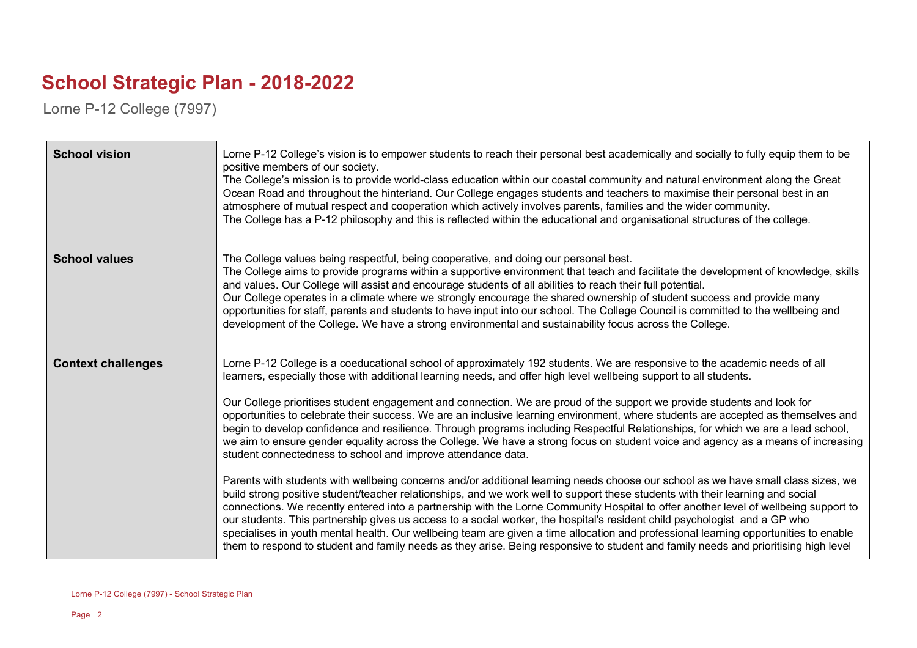## **School Strategic Plan - 2018-2022**

Lorne P-12 College (7997)

| <b>School vision</b>      | Lorne P-12 College's vision is to empower students to reach their personal best academically and socially to fully equip them to be<br>positive members of our society.<br>The College's mission is to provide world-class education within our coastal community and natural environment along the Great<br>Ocean Road and throughout the hinterland. Our College engages students and teachers to maximise their personal best in an<br>atmosphere of mutual respect and cooperation which actively involves parents, families and the wider community.<br>The College has a P-12 philosophy and this is reflected within the educational and organisational structures of the college.                                                                                                                                                                                                                                                                                                                                                                                                                                                                                                                                                                                                                                                                                                                                                                                                                                                                                                                                                                                            |
|---------------------------|--------------------------------------------------------------------------------------------------------------------------------------------------------------------------------------------------------------------------------------------------------------------------------------------------------------------------------------------------------------------------------------------------------------------------------------------------------------------------------------------------------------------------------------------------------------------------------------------------------------------------------------------------------------------------------------------------------------------------------------------------------------------------------------------------------------------------------------------------------------------------------------------------------------------------------------------------------------------------------------------------------------------------------------------------------------------------------------------------------------------------------------------------------------------------------------------------------------------------------------------------------------------------------------------------------------------------------------------------------------------------------------------------------------------------------------------------------------------------------------------------------------------------------------------------------------------------------------------------------------------------------------------------------------------------------------|
| <b>School values</b>      | The College values being respectful, being cooperative, and doing our personal best.<br>The College aims to provide programs within a supportive environment that teach and facilitate the development of knowledge, skills<br>and values. Our College will assist and encourage students of all abilities to reach their full potential.<br>Our College operates in a climate where we strongly encourage the shared ownership of student success and provide many<br>opportunities for staff, parents and students to have input into our school. The College Council is committed to the wellbeing and<br>development of the College. We have a strong environmental and sustainability focus across the College.                                                                                                                                                                                                                                                                                                                                                                                                                                                                                                                                                                                                                                                                                                                                                                                                                                                                                                                                                                 |
| <b>Context challenges</b> | Lorne P-12 College is a coeducational school of approximately 192 students. We are responsive to the academic needs of all<br>learners, especially those with additional learning needs, and offer high level wellbeing support to all students.<br>Our College prioritises student engagement and connection. We are proud of the support we provide students and look for<br>opportunities to celebrate their success. We are an inclusive learning environment, where students are accepted as themselves and<br>begin to develop confidence and resilience. Through programs including Respectful Relationships, for which we are a lead school,<br>we aim to ensure gender equality across the College. We have a strong focus on student voice and agency as a means of increasing<br>student connectedness to school and improve attendance data.<br>Parents with students with wellbeing concerns and/or additional learning needs choose our school as we have small class sizes, we<br>build strong positive student/teacher relationships, and we work well to support these students with their learning and social<br>connections. We recently entered into a partnership with the Lorne Community Hospital to offer another level of wellbeing support to<br>our students. This partnership gives us access to a social worker, the hospital's resident child psychologist and a GP who<br>specialises in youth mental health. Our wellbeing team are given a time allocation and professional learning opportunities to enable<br>them to respond to student and family needs as they arise. Being responsive to student and family needs and prioritising high level |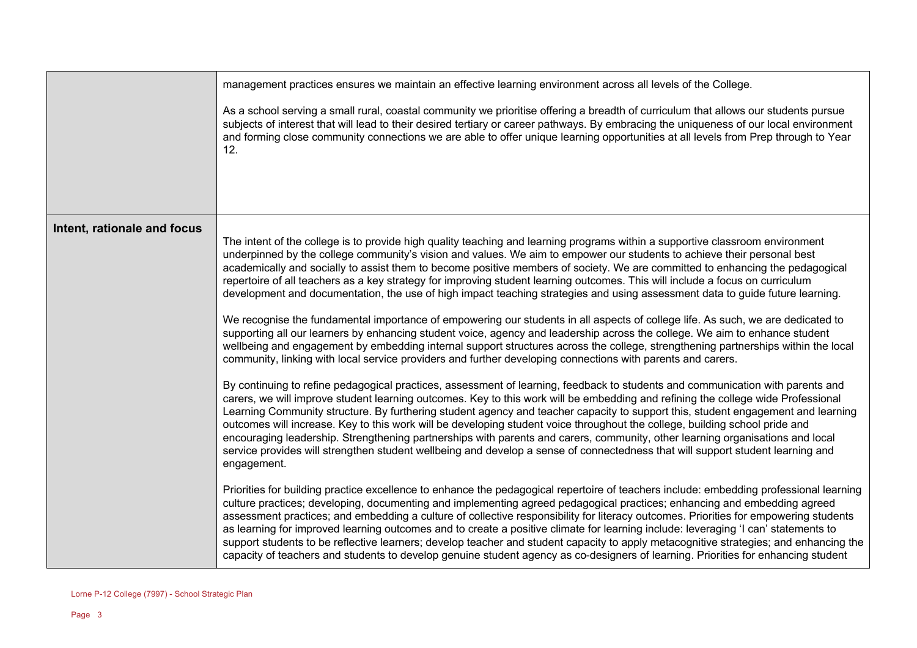|                             | management practices ensures we maintain an effective learning environment across all levels of the College.<br>As a school serving a small rural, coastal community we prioritise offering a breadth of curriculum that allows our students pursue<br>subjects of interest that will lead to their desired tertiary or career pathways. By embracing the uniqueness of our local environment<br>and forming close community connections we are able to offer unique learning opportunities at all levels from Prep through to Year<br>12.                                                                                                                                                                                                                                                                                                                                                                                                                                                                                                                                                                                                                                                                                                                                                                                                                                                                                                                                                                                                                                                                                                                                                                                                                                                                                                                                                                                                                                                                                                                                                                                                                                                                                                                                                                                                                                                                                                                                                                                                                                                                                                                                                                                                                                                                                                     |
|-----------------------------|------------------------------------------------------------------------------------------------------------------------------------------------------------------------------------------------------------------------------------------------------------------------------------------------------------------------------------------------------------------------------------------------------------------------------------------------------------------------------------------------------------------------------------------------------------------------------------------------------------------------------------------------------------------------------------------------------------------------------------------------------------------------------------------------------------------------------------------------------------------------------------------------------------------------------------------------------------------------------------------------------------------------------------------------------------------------------------------------------------------------------------------------------------------------------------------------------------------------------------------------------------------------------------------------------------------------------------------------------------------------------------------------------------------------------------------------------------------------------------------------------------------------------------------------------------------------------------------------------------------------------------------------------------------------------------------------------------------------------------------------------------------------------------------------------------------------------------------------------------------------------------------------------------------------------------------------------------------------------------------------------------------------------------------------------------------------------------------------------------------------------------------------------------------------------------------------------------------------------------------------------------------------------------------------------------------------------------------------------------------------------------------------------------------------------------------------------------------------------------------------------------------------------------------------------------------------------------------------------------------------------------------------------------------------------------------------------------------------------------------------------------------------------------------------------------------------------------------------|
| Intent, rationale and focus | The intent of the college is to provide high quality teaching and learning programs within a supportive classroom environment<br>underpinned by the college community's vision and values. We aim to empower our students to achieve their personal best<br>academically and socially to assist them to become positive members of society. We are committed to enhancing the pedagogical<br>repertoire of all teachers as a key strategy for improving student learning outcomes. This will include a focus on curriculum<br>development and documentation, the use of high impact teaching strategies and using assessment data to guide future learning.<br>We recognise the fundamental importance of empowering our students in all aspects of college life. As such, we are dedicated to<br>supporting all our learners by enhancing student voice, agency and leadership across the college. We aim to enhance student<br>wellbeing and engagement by embedding internal support structures across the college, strengthening partnerships within the local<br>community, linking with local service providers and further developing connections with parents and carers.<br>By continuing to refine pedagogical practices, assessment of learning, feedback to students and communication with parents and<br>carers, we will improve student learning outcomes. Key to this work will be embedding and refining the college wide Professional<br>Learning Community structure. By furthering student agency and teacher capacity to support this, student engagement and learning<br>outcomes will increase. Key to this work will be developing student voice throughout the college, building school pride and<br>encouraging leadership. Strengthening partnerships with parents and carers, community, other learning organisations and local<br>service provides will strengthen student wellbeing and develop a sense of connectedness that will support student learning and<br>engagement.<br>Priorities for building practice excellence to enhance the pedagogical repertoire of teachers include: embedding professional learning<br>culture practices; developing, documenting and implementing agreed pedagogical practices; enhancing and embedding agreed<br>assessment practices; and embedding a culture of collective responsibility for literacy outcomes. Priorities for empowering students<br>as learning for improved learning outcomes and to create a positive climate for learning include: leveraging 'I can' statements to<br>support students to be reflective learners; develop teacher and student capacity to apply metacognitive strategies; and enhancing the<br>capacity of teachers and students to develop genuine student agency as co-designers of learning. Priorities for enhancing student |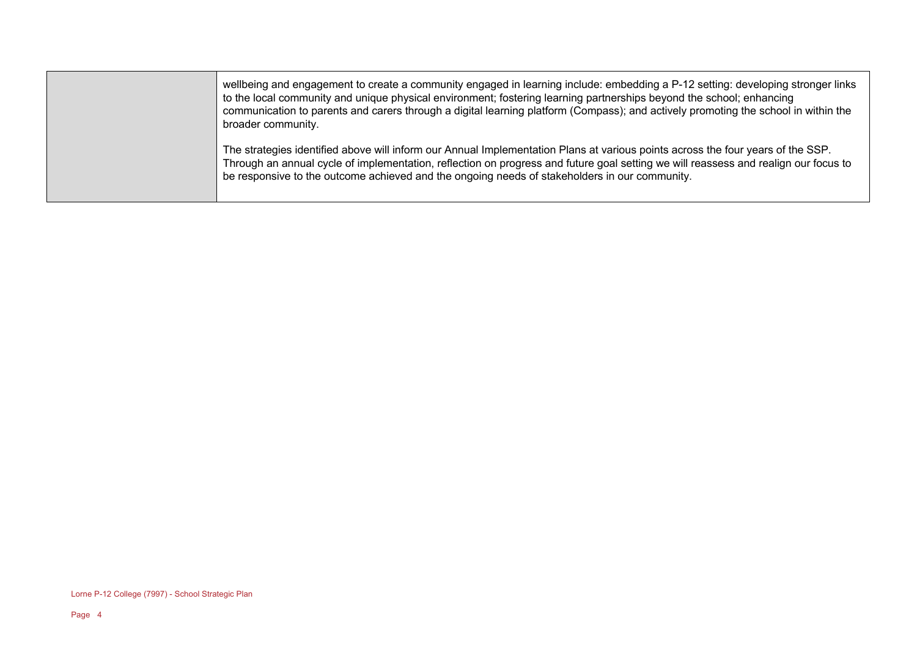| wellbeing and engagement to create a community engaged in learning include: embedding a P-12 setting: developing stronger links<br>to the local community and unique physical environment; fostering learning partnerships beyond the school; enhancing<br>communication to parents and carers through a digital learning platform (Compass); and actively promoting the school in within the<br>broader community. |
|---------------------------------------------------------------------------------------------------------------------------------------------------------------------------------------------------------------------------------------------------------------------------------------------------------------------------------------------------------------------------------------------------------------------|
| The strategies identified above will inform our Annual Implementation Plans at various points across the four years of the SSP.<br>Through an annual cycle of implementation, reflection on progress and future goal setting we will reassess and realign our focus to<br>be responsive to the outcome achieved and the ongoing needs of stakeholders in our community.                                             |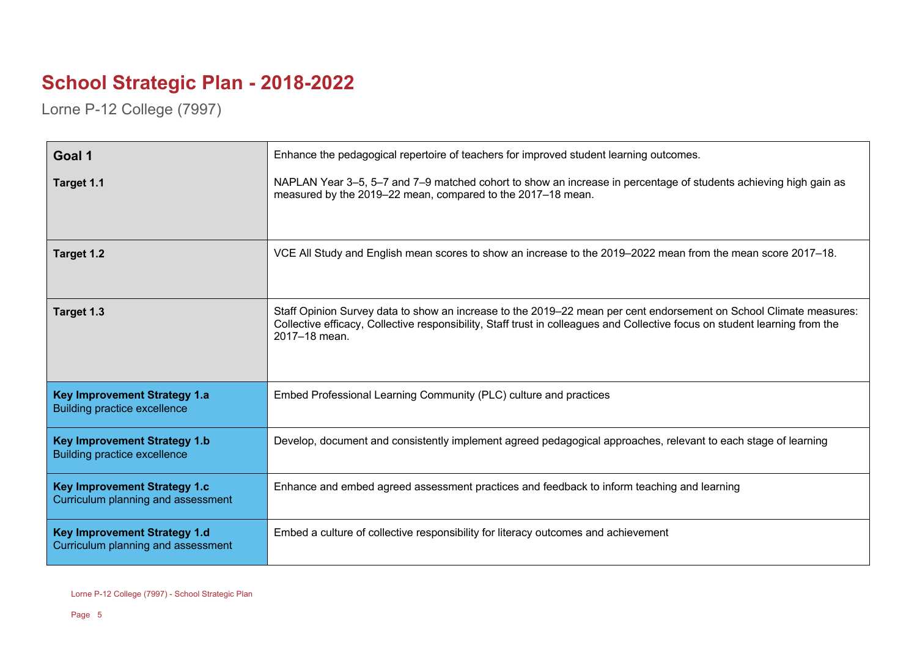## **School Strategic Plan - 2018-2022**

Lorne P-12 College (7997)

| Goal 1                                                                     | Enhance the pedagogical repertoire of teachers for improved student learning outcomes.                                                                                                                                                                             |
|----------------------------------------------------------------------------|--------------------------------------------------------------------------------------------------------------------------------------------------------------------------------------------------------------------------------------------------------------------|
| Target 1.1                                                                 | NAPLAN Year 3–5, 5–7 and 7–9 matched cohort to show an increase in percentage of students achieving high gain as<br>measured by the 2019-22 mean, compared to the 2017-18 mean.                                                                                    |
| Target 1.2                                                                 | VCE All Study and English mean scores to show an increase to the 2019–2022 mean from the mean score 2017–18.                                                                                                                                                       |
| Target 1.3                                                                 | Staff Opinion Survey data to show an increase to the 2019–22 mean per cent endorsement on School Climate measures:<br>Collective efficacy, Collective responsibility, Staff trust in colleagues and Collective focus on student learning from the<br>2017-18 mean. |
| <b>Key Improvement Strategy 1.a</b><br><b>Building practice excellence</b> | Embed Professional Learning Community (PLC) culture and practices                                                                                                                                                                                                  |
| <b>Key Improvement Strategy 1.b</b><br><b>Building practice excellence</b> | Develop, document and consistently implement agreed pedagogical approaches, relevant to each stage of learning                                                                                                                                                     |
| <b>Key Improvement Strategy 1.c</b><br>Curriculum planning and assessment  | Enhance and embed agreed assessment practices and feedback to inform teaching and learning                                                                                                                                                                         |
| <b>Key Improvement Strategy 1.d</b><br>Curriculum planning and assessment  | Embed a culture of collective responsibility for literacy outcomes and achievement                                                                                                                                                                                 |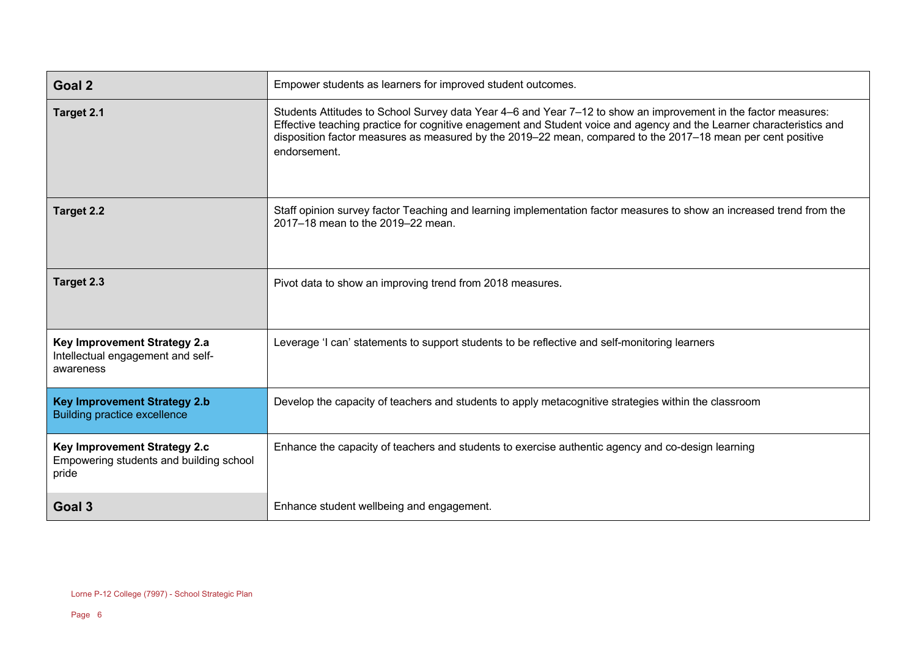| <b>Goal 2</b>                                                                    | Empower students as learners for improved student outcomes.                                                                                                                                                                                                                                                                                                           |
|----------------------------------------------------------------------------------|-----------------------------------------------------------------------------------------------------------------------------------------------------------------------------------------------------------------------------------------------------------------------------------------------------------------------------------------------------------------------|
| Target 2.1                                                                       | Students Attitudes to School Survey data Year 4–6 and Year 7–12 to show an improvement in the factor measures:<br>Effective teaching practice for cognitive enagement and Student voice and agency and the Learner characteristics and<br>disposition factor measures as measured by the 2019–22 mean, compared to the 2017–18 mean per cent positive<br>endorsement. |
| <b>Target 2.2</b>                                                                | Staff opinion survey factor Teaching and learning implementation factor measures to show an increased trend from the<br>2017-18 mean to the 2019-22 mean.                                                                                                                                                                                                             |
| Target 2.3                                                                       | Pivot data to show an improving trend from 2018 measures.                                                                                                                                                                                                                                                                                                             |
| Key Improvement Strategy 2.a<br>Intellectual engagement and self-<br>awareness   | Leverage 'I can' statements to support students to be reflective and self-monitoring learners                                                                                                                                                                                                                                                                         |
| <b>Key Improvement Strategy 2.b</b><br><b>Building practice excellence</b>       | Develop the capacity of teachers and students to apply metacognitive strategies within the classroom                                                                                                                                                                                                                                                                  |
| Key Improvement Strategy 2.c<br>Empowering students and building school<br>pride | Enhance the capacity of teachers and students to exercise authentic agency and co-design learning                                                                                                                                                                                                                                                                     |
| Goal 3                                                                           | Enhance student wellbeing and engagement.                                                                                                                                                                                                                                                                                                                             |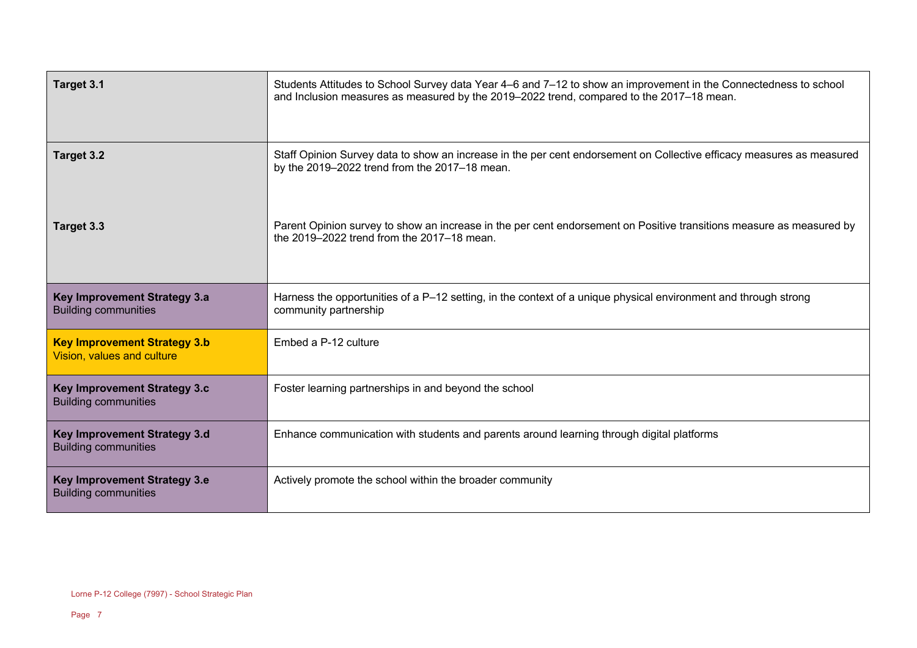| Target 3.1                                                         | Students Attitudes to School Survey data Year 4–6 and 7–12 to show an improvement in the Connectedness to school<br>and Inclusion measures as measured by the 2019–2022 trend, compared to the 2017–18 mean. |
|--------------------------------------------------------------------|--------------------------------------------------------------------------------------------------------------------------------------------------------------------------------------------------------------|
| Target 3.2                                                         | Staff Opinion Survey data to show an increase in the per cent endorsement on Collective efficacy measures as measured<br>by the 2019-2022 trend from the 2017-18 mean.                                       |
| Target 3.3                                                         | Parent Opinion survey to show an increase in the per cent endorsement on Positive transitions measure as measured by<br>the 2019-2022 trend from the 2017-18 mean.                                           |
| Key Improvement Strategy 3.a<br><b>Building communities</b>        | Harness the opportunities of a P-12 setting, in the context of a unique physical environment and through strong<br>community partnership                                                                     |
| <b>Key Improvement Strategy 3.b</b><br>Vision, values and culture  | Embed a P-12 culture                                                                                                                                                                                         |
| <b>Key Improvement Strategy 3.c</b><br><b>Building communities</b> | Foster learning partnerships in and beyond the school                                                                                                                                                        |
| Key Improvement Strategy 3.d<br><b>Building communities</b>        | Enhance communication with students and parents around learning through digital platforms                                                                                                                    |
| <b>Key Improvement Strategy 3.e</b><br><b>Building communities</b> | Actively promote the school within the broader community                                                                                                                                                     |